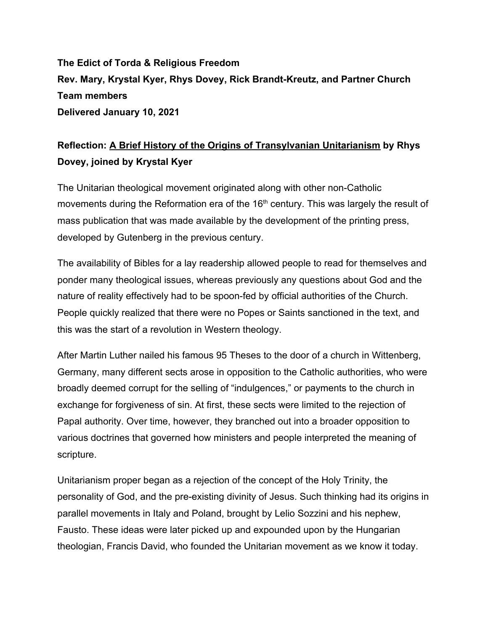**The Edict of Torda & Religious Freedom Rev. Mary, Krystal Kyer, Rhys Dovey, Rick Brandt-Kreutz, and Partner Church Team members Delivered January 10, 2021**

## **Reflection: A Brief History of the Origins of Transylvanian Unitarianism by Rhys Dovey, joined by Krystal Kyer**

The Unitarian theological movement originated along with other non-Catholic movements during the Reformation era of the 16<sup>th</sup> century. This was largely the result of mass publication that was made available by the development of the printing press, developed by Gutenberg in the previous century.

The availability of Bibles for a lay readership allowed people to read for themselves and ponder many theological issues, whereas previously any questions about God and the nature of reality effectively had to be spoon-fed by official authorities of the Church. People quickly realized that there were no Popes or Saints sanctioned in the text, and this was the start of a revolution in Western theology.

After Martin Luther nailed his famous 95 Theses to the door of a church in Wittenberg, Germany, many different sects arose in opposition to the Catholic authorities, who were broadly deemed corrupt for the selling of "indulgences," or payments to the church in exchange for forgiveness of sin. At first, these sects were limited to the rejection of Papal authority. Over time, however, they branched out into a broader opposition to various doctrines that governed how ministers and people interpreted the meaning of scripture.

Unitarianism proper began as a rejection of the concept of the Holy Trinity, the personality of God, and the pre-existing divinity of Jesus. Such thinking had its origins in parallel movements in Italy and Poland, brought by Lelio Sozzini and his nephew, Fausto. These ideas were later picked up and expounded upon by the Hungarian theologian, Francis David, who founded the Unitarian movement as we know it today.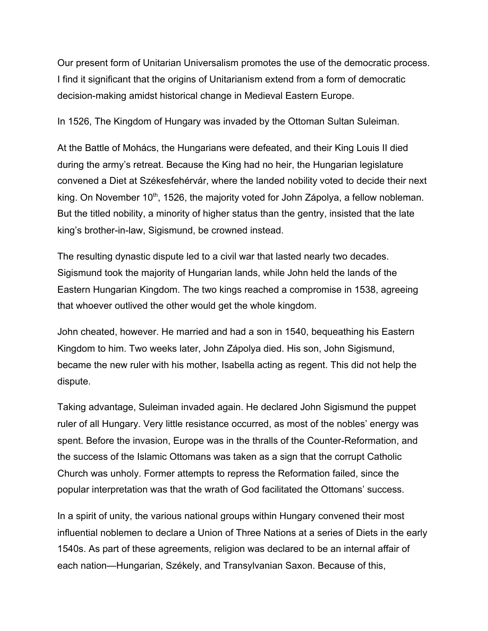Our present form of Unitarian Universalism promotes the use of the democratic process. I find it significant that the origins of Unitarianism extend from a form of democratic decision-making amidst historical change in Medieval Eastern Europe.

In 1526, The Kingdom of Hungary was invaded by the Ottoman Sultan Suleiman.

At the Battle of Mohács, the Hungarians were defeated, and their King Louis II died during the army's retreat. Because the King had no heir, the Hungarian legislature convened a Diet at Székesfehérvár, where the landed nobility voted to decide their next king. On November 10<sup>th</sup>, 1526, the majority voted for John Zápolya, a fellow nobleman. But the titled nobility, a minority of higher status than the gentry, insisted that the late king's brother-in-law, Sigismund, be crowned instead.

The resulting dynastic dispute led to a civil war that lasted nearly two decades. Sigismund took the majority of Hungarian lands, while John held the lands of the Eastern Hungarian Kingdom. The two kings reached a compromise in 1538, agreeing that whoever outlived the other would get the whole kingdom.

John cheated, however. He married and had a son in 1540, bequeathing his Eastern Kingdom to him. Two weeks later, John Zápolya died. His son, John Sigismund, became the new ruler with his mother, Isabella acting as regent. This did not help the dispute.

Taking advantage, Suleiman invaded again. He declared John Sigismund the puppet ruler of all Hungary. Very little resistance occurred, as most of the nobles' energy was spent. Before the invasion, Europe was in the thralls of the Counter-Reformation, and the success of the Islamic Ottomans was taken as a sign that the corrupt Catholic Church was unholy. Former attempts to repress the Reformation failed, since the popular interpretation was that the wrath of God facilitated the Ottomans' success.

In a spirit of unity, the various national groups within Hungary convened their most influential noblemen to declare a Union of Three Nations at a series of Diets in the early 1540s. As part of these agreements, religion was declared to be an internal affair of each nation—Hungarian, Székely, and Transylvanian Saxon. Because of this,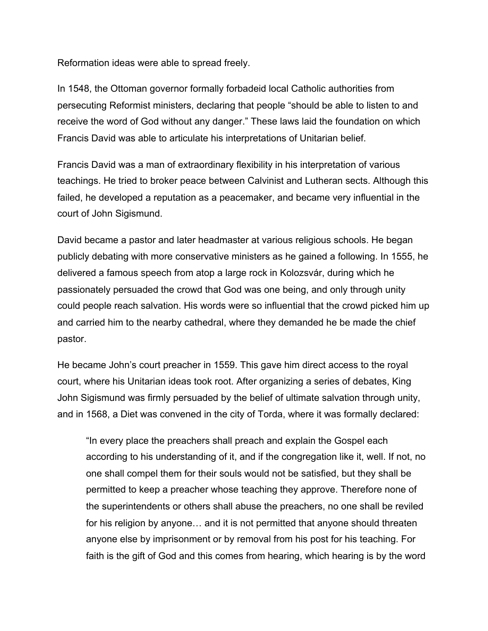Reformation ideas were able to spread freely.

In 1548, the Ottoman governor formally forbadeid local Catholic authorities from persecuting Reformist ministers, declaring that people "should be able to listen to and receive the word of God without any danger." These laws laid the foundation on which Francis David was able to articulate his interpretations of Unitarian belief.

Francis David was a man of extraordinary flexibility in his interpretation of various teachings. He tried to broker peace between Calvinist and Lutheran sects. Although this failed, he developed a reputation as a peacemaker, and became very influential in the court of John Sigismund.

David became a pastor and later headmaster at various religious schools. He began publicly debating with more conservative ministers as he gained a following. In 1555, he delivered a famous speech from atop a large rock in Kolozsvár, during which he passionately persuaded the crowd that God was one being, and only through unity could people reach salvation. His words were so influential that the crowd picked him up and carried him to the nearby cathedral, where they demanded he be made the chief pastor.

He became John's court preacher in 1559. This gave him direct access to the royal court, where his Unitarian ideas took root. After organizing a series of debates, King John Sigismund was firmly persuaded by the belief of ultimate salvation through unity, and in 1568, a Diet was convened in the city of Torda, where it was formally declared:

"In every place the preachers shall preach and explain the Gospel each according to his understanding of it, and if the congregation like it, well. If not, no one shall compel them for their souls would not be satisfied, but they shall be permitted to keep a preacher whose teaching they approve. Therefore none of the superintendents or others shall abuse the preachers, no one shall be reviled for his religion by anyone… and it is not permitted that anyone should threaten anyone else by imprisonment or by removal from his post for his teaching. For faith is the gift of God and this comes from hearing, which hearing is by the word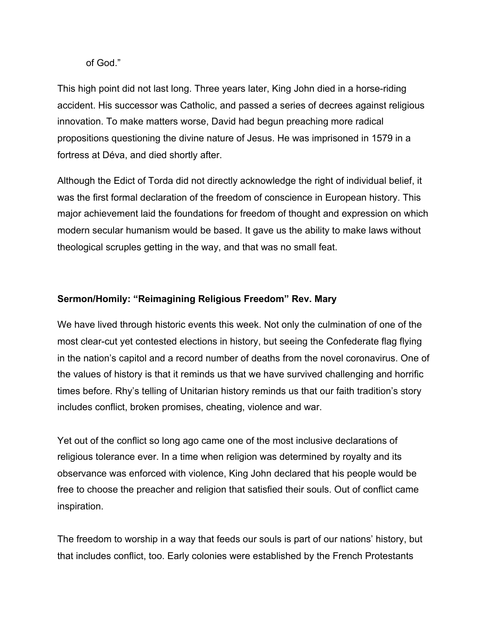## of God."

This high point did not last long. Three years later, King John died in a horse-riding accident. His successor was Catholic, and passed a series of decrees against religious innovation. To make matters worse, David had begun preaching more radical propositions questioning the divine nature of Jesus. He was imprisoned in 1579 in a fortress at Déva, and died shortly after.

Although the Edict of Torda did not directly acknowledge the right of individual belief, it was the first formal declaration of the freedom of conscience in European history. This major achievement laid the foundations for freedom of thought and expression on which modern secular humanism would be based. It gave us the ability to make laws without theological scruples getting in the way, and that was no small feat.

## **Sermon/Homily: "Reimagining Religious Freedom" Rev. Mary**

We have lived through historic events this week. Not only the culmination of one of the most clear-cut yet contested elections in history, but seeing the Confederate flag flying in the nation's capitol and a record number of deaths from the novel coronavirus. One of the values of history is that it reminds us that we have survived challenging and horrific times before. Rhy's telling of Unitarian history reminds us that our faith tradition's story includes conflict, broken promises, cheating, violence and war.

Yet out of the conflict so long ago came one of the most inclusive declarations of religious tolerance ever. In a time when religion was determined by royalty and its observance was enforced with violence, King John declared that his people would be free to choose the preacher and religion that satisfied their souls. Out of conflict came inspiration.

The freedom to worship in a way that feeds our souls is part of our nations' history, but that includes conflict, too. Early colonies were established by the French Protestants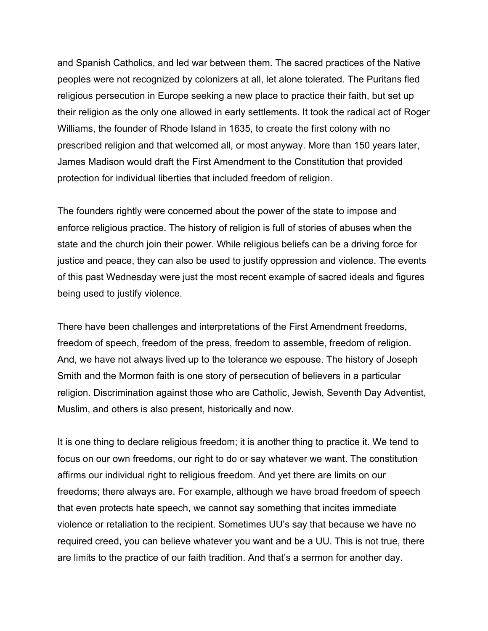and Spanish Catholics, and led war between them. The sacred practices of the Native peoples were not recognized by colonizers at all, let alone tolerated. The Puritans fled religious persecution in Europe seeking a new place to practice their faith, but set up their religion as the only one allowed in early settlements. It took the radical act of Roger Williams, the founder of Rhode Island in 1635, to create the first colony with no prescribed religion and that welcomed all, or most anyway. More than 150 years later, James Madison would draft the First Amendment to the Constitution that provided protection for individual liberties that included freedom of religion.

The founders rightly were concerned about the power of the state to impose and enforce religious practice. The history of religion is full of stories of abuses when the state and the church join their power. While religious beliefs can be a driving force for justice and peace, they can also be used to justify oppression and violence. The events of this past Wednesday were just the most recent example of sacred ideals and figures being used to justify violence.

There have been challenges and interpretations of the First Amendment freedoms, freedom of speech, freedom of the press, freedom to assemble, freedom of religion. And, we have not always lived up to the tolerance we espouse. The history of Joseph Smith and the Mormon faith is one story of persecution of believers in a particular religion. Discrimination against those who are Catholic, Jewish, Seventh Day Adventist, Muslim, and others is also present, historically and now.

It is one thing to declare religious freedom; it is another thing to practice it. We tend to focus on our own freedoms, our right to do or say whatever we want. The constitution affirms our individual right to religious freedom. And yet there are limits on our freedoms; there always are. For example, although we have broad freedom of speech that even protects hate speech, we cannot say something that incites immediate violence or retaliation to the recipient. Sometimes UU's say that because we have no required creed, you can believe whatever you want and be a UU. This is not true, there are limits to the practice of our faith tradition. And that's a sermon for another day.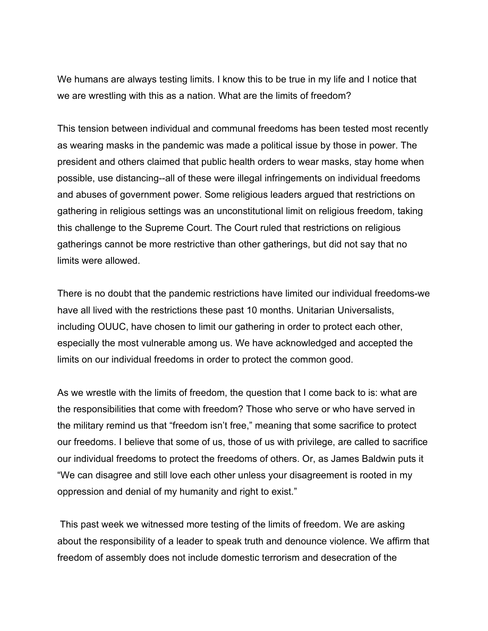We humans are always testing limits. I know this to be true in my life and I notice that we are wrestling with this as a nation. What are the limits of freedom?

This tension between individual and communal freedoms has been tested most recently as wearing masks in the pandemic was made a political issue by those in power. The president and others claimed that public health orders to wear masks, stay home when possible, use distancing--all of these were illegal infringements on individual freedoms and abuses of government power. Some religious leaders argued that restrictions on gathering in religious settings was an unconstitutional limit on religious freedom, taking this challenge to the Supreme Court. The Court ruled that restrictions on religious gatherings cannot be more restrictive than other gatherings, but did not say that no limits were allowed.

There is no doubt that the pandemic restrictions have limited our individual freedoms-we have all lived with the restrictions these past 10 months. Unitarian Universalists, including OUUC, have chosen to limit our gathering in order to protect each other, especially the most vulnerable among us. We have acknowledged and accepted the limits on our individual freedoms in order to protect the common good.

As we wrestle with the limits of freedom, the question that I come back to is: what are the responsibilities that come with freedom? Those who serve or who have served in the military remind us that "freedom isn't free," meaning that some sacrifice to protect our freedoms. I believe that some of us, those of us with privilege, are called to sacrifice our individual freedoms to protect the freedoms of others. Or, as James Baldwin puts it "We can disagree and still love each other unless your disagreement is rooted in my oppression and denial of my humanity and right to exist."

 This past week we witnessed more testing of the limits of freedom. We are asking about the responsibility of a leader to speak truth and denounce violence. We affirm that freedom of assembly does not include domestic terrorism and desecration of the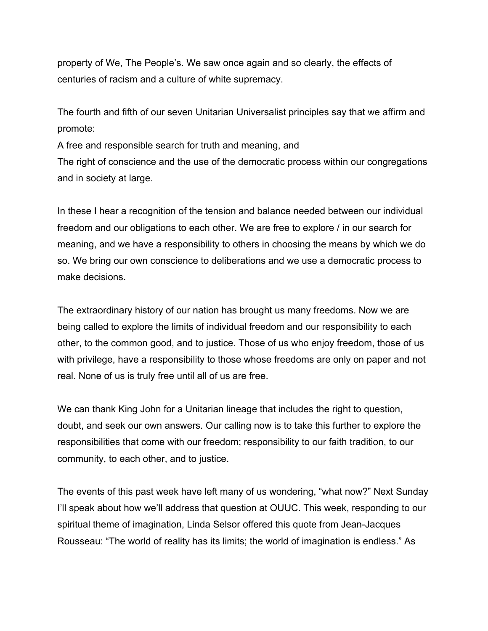property of We, The People's. We saw once again and so clearly, the effects of centuries of racism and a culture of white supremacy.

The fourth and fifth of our seven Unitarian Universalist principles say that we affirm and promote:

A free and responsible search for truth and meaning, and The right of conscience and the use of the democratic process within our congregations and in society at large.

In these I hear a recognition of the tension and balance needed between our individual freedom and our obligations to each other. We are free to explore / in our search for meaning, and we have a responsibility to others in choosing the means by which we do so. We bring our own conscience to deliberations and we use a democratic process to make decisions.

The extraordinary history of our nation has brought us many freedoms. Now we are being called to explore the limits of individual freedom and our responsibility to each other, to the common good, and to justice. Those of us who enjoy freedom, those of us with privilege, have a responsibility to those whose freedoms are only on paper and not real. None of us is truly free until all of us are free.

We can thank King John for a Unitarian lineage that includes the right to question, doubt, and seek our own answers. Our calling now is to take this further to explore the responsibilities that come with our freedom; responsibility to our faith tradition, to our community, to each other, and to justice.

The events of this past week have left many of us wondering, "what now?" Next Sunday I'll speak about how we'll address that question at OUUC. This week, responding to our spiritual theme of imagination, Linda Selsor offered this quote from Jean-Jacques Rousseau: "The world of reality has its limits; the world of imagination is endless." As